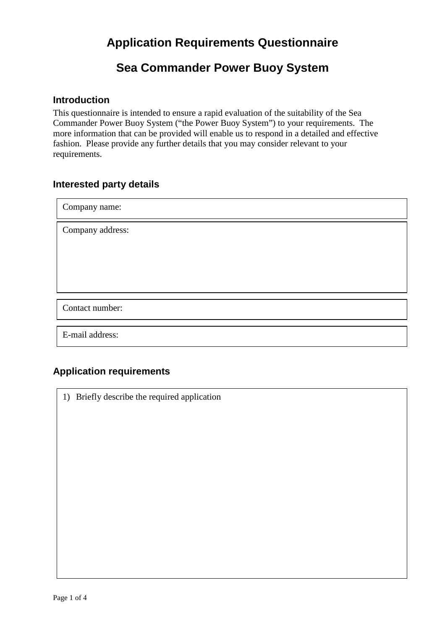## **Sea Commander Power Buoy System**

#### **Introduction**

This questionnaire is intended to ensure a rapid evaluation of the suitability of the Sea Commander Power Buoy System ("the Power Buoy System") to your requirements. The more information that can be provided will enable us to respond in a detailed and effective fashion. Please provide any further details that you may consider relevant to your requirements.

#### **Interested party details**

Company name: Company address: Contact number:

E-mail address:

### **Application requirements**

1) Briefly describe the required application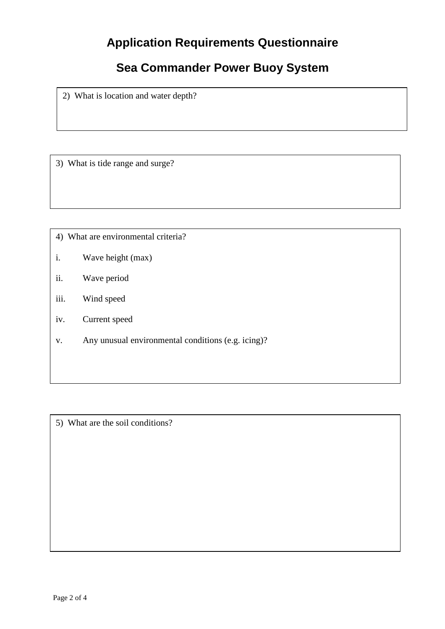# **Sea Commander Power Buoy System**

2) What is location and water depth?

3) What is tide range and surge?

4) What are environmental criteria?

- i. Wave height (max)
- ii. Wave period
- iii. Wind speed
- iv. Current speed
- v. Any unusual environmental conditions (e.g. icing)?

5) What are the soil conditions?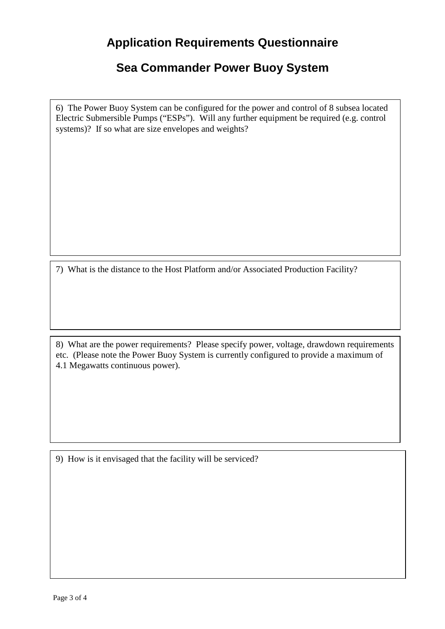## **Sea Commander Power Buoy System**

6) The Power Buoy System can be configured for the power and control of 8 subsea located Electric Submersible Pumps ("ESPs"). Will any further equipment be required (e.g. control systems)? If so what are size envelopes and weights?

7) What is the distance to the Host Platform and/or Associated Production Facility?

8) What are the power requirements? Please specify power, voltage, drawdown requirements etc. (Please note the Power Buoy System is currently configured to provide a maximum of 4.1 Megawatts continuous power).

9) How is it envisaged that the facility will be serviced?